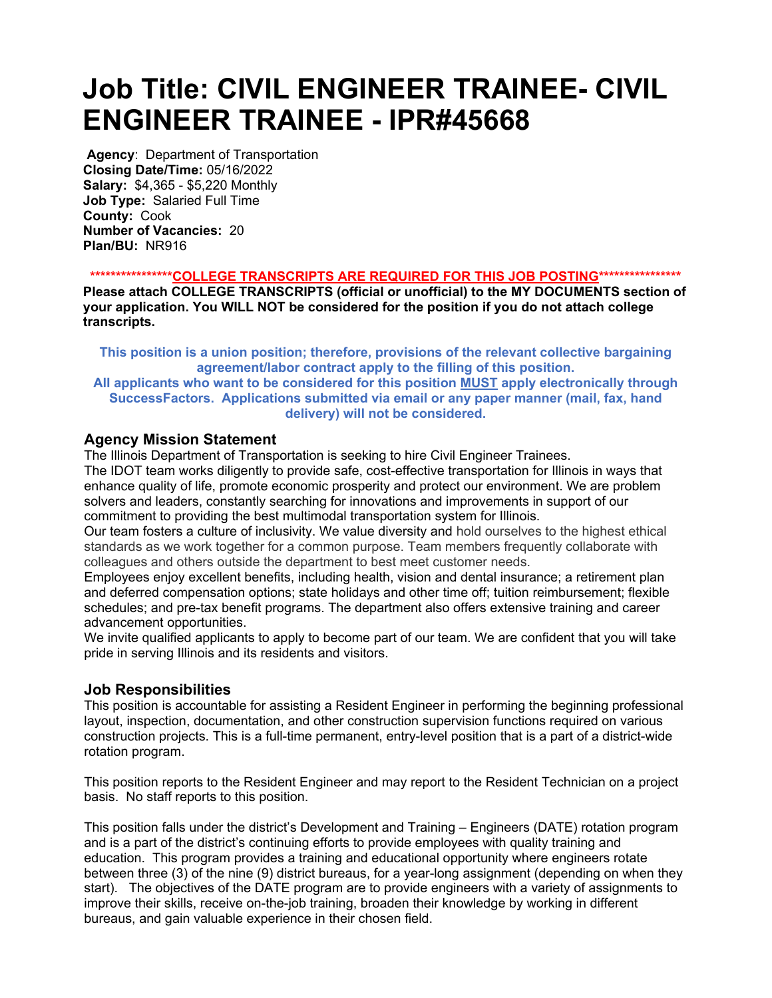# Job Title: CIVIL ENGINEER TRAINEE- CIVIL ENGINEER TRAINEE - IPR#45668

Agency: Department of Transportation Closing Date/Time: 05/16/2022 Salary: \$4,365 - \$5,220 Monthly Job Type: Salaried Full Time County: Cook Number of Vacancies: 20 Plan/BU: NR916

\*\*\*\*\*\*\*\*\*\*\*\*\*\*\*\*\*\*COLLEGE TRANSCRIPTS ARE REQUIRED FOR THIS JOB POSTING\*\*\*\*\*\*\*\*\*\*\*\*\*\*\*\*\*

Please attach COLLEGE TRANSCRIPTS (official or unofficial) to the MY DOCUMENTS section of your application. You WILL NOT be considered for the position if you do not attach college transcripts.

This position is a union position; therefore, provisions of the relevant collective bargaining agreement/labor contract apply to the filling of this position.

#### All applicants who want to be considered for this position MUST apply electronically through SuccessFactors. Applications submitted via email or any paper manner (mail, fax, hand delivery) will not be considered.

## Agency Mission Statement

The Illinois Department of Transportation is seeking to hire Civil Engineer Trainees.

The IDOT team works diligently to provide safe, cost-effective transportation for Illinois in ways that enhance quality of life, promote economic prosperity and protect our environment. We are problem solvers and leaders, constantly searching for innovations and improvements in support of our commitment to providing the best multimodal transportation system for Illinois.

Our team fosters a culture of inclusivity. We value diversity and hold ourselves to the highest ethical standards as we work together for a common purpose. Team members frequently collaborate with colleagues and others outside the department to best meet customer needs.

Employees enjoy excellent benefits, including health, vision and dental insurance; a retirement plan and deferred compensation options; state holidays and other time off; tuition reimbursement; flexible schedules; and pre-tax benefit programs. The department also offers extensive training and career advancement opportunities.

We invite qualified applicants to apply to become part of our team. We are confident that you will take pride in serving Illinois and its residents and visitors.

## Job Responsibilities

This position is accountable for assisting a Resident Engineer in performing the beginning professional layout, inspection, documentation, and other construction supervision functions required on various construction projects. This is a full-time permanent, entry-level position that is a part of a district-wide rotation program.

This position reports to the Resident Engineer and may report to the Resident Technician on a project basis. No staff reports to this position.

This position falls under the district's Development and Training – Engineers (DATE) rotation program and is a part of the district's continuing efforts to provide employees with quality training and education. This program provides a training and educational opportunity where engineers rotate between three (3) of the nine (9) district bureaus, for a year-long assignment (depending on when they start). The objectives of the DATE program are to provide engineers with a variety of assignments to improve their skills, receive on-the-job training, broaden their knowledge by working in different bureaus, and gain valuable experience in their chosen field.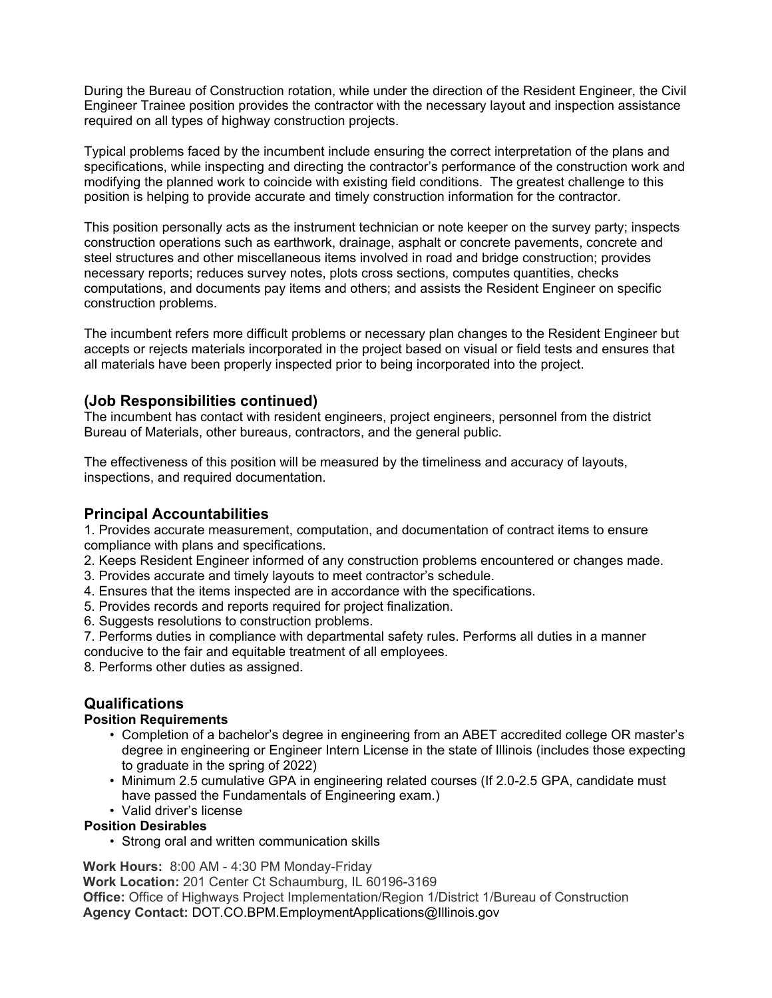During the Bureau of Construction rotation, while under the direction of the Resident Engineer, the Civil Engineer Trainee position provides the contractor with the necessary layout and inspection assistance required on all types of highway construction projects.

Typical problems faced by the incumbent include ensuring the correct interpretation of the plans and specifications, while inspecting and directing the contractor's performance of the construction work and modifying the planned work to coincide with existing field conditions. The greatest challenge to this position is helping to provide accurate and timely construction information for the contractor.

This position personally acts as the instrument technician or note keeper on the survey party; inspects construction operations such as earthwork, drainage, asphalt or concrete pavements, concrete and steel structures and other miscellaneous items involved in road and bridge construction; provides necessary reports; reduces survey notes, plots cross sections, computes quantities, checks computations, and documents pay items and others; and assists the Resident Engineer on specific construction problems.

The incumbent refers more difficult problems or necessary plan changes to the Resident Engineer but accepts or rejects materials incorporated in the project based on visual or field tests and ensures that all materials have been properly inspected prior to being incorporated into the project.

## (Job Responsibilities continued)

The incumbent has contact with resident engineers, project engineers, personnel from the district Bureau of Materials, other bureaus, contractors, and the general public.

The effectiveness of this position will be measured by the timeliness and accuracy of layouts, inspections, and required documentation.

# Principal Accountabilities

1. Provides accurate measurement, computation, and documentation of contract items to ensure compliance with plans and specifications.

- 2. Keeps Resident Engineer informed of any construction problems encountered or changes made.
- 3. Provides accurate and timely layouts to meet contractor's schedule.
- 4. Ensures that the items inspected are in accordance with the specifications.
- 5. Provides records and reports required for project finalization.
- 6. Suggests resolutions to construction problems.
- 7. Performs duties in compliance with departmental safety rules. Performs all duties in a manner conducive to the fair and equitable treatment of all employees.
- 8. Performs other duties as assigned.

## Qualifications

### Position Requirements

- Completion of a bachelor's degree in engineering from an ABET accredited college OR master's degree in engineering or Engineer Intern License in the state of Illinois (includes those expecting to graduate in the spring of 2022)
- Minimum 2.5 cumulative GPA in engineering related courses (If 2.0-2.5 GPA, candidate must have passed the Fundamentals of Engineering exam.)
- Valid driver's license

### Position Desirables

• Strong oral and written communication skills

Work Hours: 8:00 AM - 4:30 PM Monday-Friday

Work Location: 201 Center Ct Schaumburg, IL 60196-3169 Office: Office of Highways Project Implementation/Region 1/District 1/Bureau of Construction Agency Contact: DOT.CO.BPM.EmploymentApplications@Illinois.gov